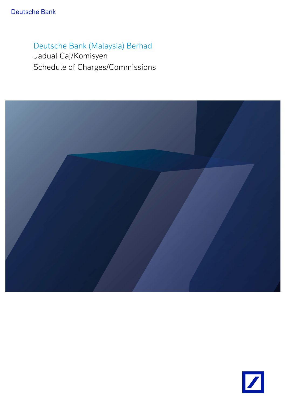# Deutsche Bank (Malaysia) Berhad

Jadual Caj/Komisyen Schedule of Charges/Commissions



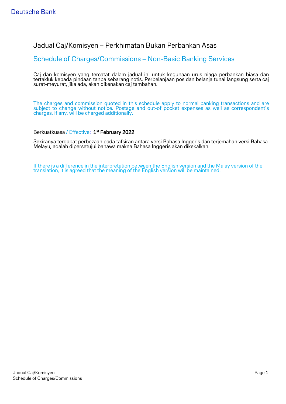### Jadual Caj/Komisyen – Perkhimatan Bukan Perbankan Asas

### Schedule of Charges/Commissions – Non-Basic Banking Services

Caj dan komisyen yang tercatat dalam jadual ini untuk kegunaan urus niaga perbankan biasa dan tertakluk kepada pindaan tanpa sebarang notis. Perbelanjaan pos dan belanja tunai langsung serta caj surat-meyurat, jika ada, akan dikenakan caj tambahan.

The charges and commission quoted in this schedule apply to normal banking transactions and are subject to change without notice. Postage and out-of pocket expenses as well as correspondent's charges, if any, will be charged additionally.

Berkuatkuasa / Effective: 1<sup>st</sup> February 2022

Sekiranya terdapat perbezaan pada tafsiran antara versi Bahasa Inggeris dan terjemahan versi Bahasa Melayu, adalah dipersetujui bahawa makna Bahasa Inggeris akan dikekalkan.

If there is a difference in the interpretation between the English version and the Malay version of the translation, it is agreed that the meaning of the English version will be maintained.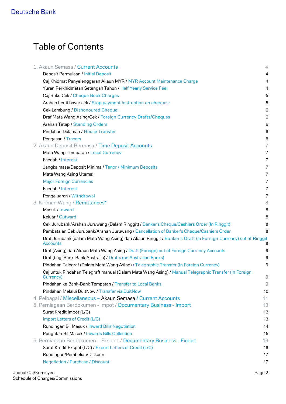# Table of Contents

| 1. Akaun Semasa / Current Accounts                                                                                                | $\overline{4}$ |
|-----------------------------------------------------------------------------------------------------------------------------------|----------------|
| Deposit Permulaan / Initial Deposit                                                                                               | 4              |
| Caj Khidmat Penyelenggaran Akaun MYR / MYR Account Maintenance Charge                                                             | $\overline{4}$ |
| Yuran Perkhidmatan Setengah Tahun / Half Yearly Service Fee:                                                                      | 4              |
| Caj Buku Cek / Cheque Book Charges                                                                                                | 5              |
| Arahan henti bayar cek / Stop payment instruction on cheques:                                                                     | 5              |
| Cek Lambung / Dishonoured Cheque:                                                                                                 | 6              |
| Draf Mata Wang Asing/Cek / Foreign Currency Drafts/Cheques                                                                        | 6              |
| <b>Arahan Tetap / Standing Orders</b>                                                                                             | 6              |
| Pindahan Dalaman / House Transfer                                                                                                 | 6              |
| Pengesan / Tracers                                                                                                                | 6              |
| 2. Akaun Deposit Bermasa / Time Deposit Accounts                                                                                  | 7              |
| Mata Wang Tempatan / Local Currency                                                                                               | 7              |
| Faedah / Interest                                                                                                                 | 7              |
| Jangka masa/Deposit Minima / Tenor / Minimum Deposits                                                                             | 7              |
| Mata Wang Asing Utama:                                                                                                            | 7              |
| <b>Major Foreign Currencies</b>                                                                                                   | 7              |
| Faedah / Interest                                                                                                                 | 7              |
| Pengeluaran / Withdrawal                                                                                                          | 7              |
| 3. Kiriman Wang / Remittances*                                                                                                    | 8              |
| Masuk / Inward                                                                                                                    | 8              |
| Keluar / Outward                                                                                                                  | 8              |
| Cek Jurubank/Arahan Juruwang (Dalam Ringgit) / Banker's Cheque/Cashiers Order (In Ringgit)                                        | 8              |
| Pembatalan Cek Jurubank/Arahan Juruwang / Cancellation of Banker's Cheque/Cashiers Order                                          | 8              |
| Draf Jurubank (dalam Mata Wang Asing) dari Akaun Ringgit / Banker's Draft (in Foreign Currency) out of Ringgit<br><b>Accounts</b> | 8              |
| Draf (Asing) dari Akaun Mata Wang Asing / Draft (Foreign) out of Foreign Currency Accounts                                        | 9              |
| Draf (bagi Bank-Bank Australia) / Drafts (on Australian Banks)                                                                    | 9              |
| Pindahan Telegraf (Dalam Mata Wang Asing) / Telegraphic Transfer (In Foreign Currency)                                            | 9              |
| Caj untuk Pindahan Telegraft manual (Dalam Mata Wang Asing) / Manual Telegraphic Transfer (In Foreign<br>Currency)                | 9              |
| Pindahan ke Bank-Bank Tempatan / Transfer to Local Banks                                                                          | 9              |
| Pindahan Melalui DuitNow / Transfer via DuitNow                                                                                   | 10             |
| 4. Pelbagai / Miscellaneous - Akaun Semasa / Current Accounts                                                                     | 11             |
| 5. Perniagaan Berdokumen - Impot / Documentary Business - Import                                                                  | 13             |
| Surat Kredit Impot (L/C)                                                                                                          | 13             |
| Import Letters of Credit (L/C)                                                                                                    | 13             |
| Rundingan Bil Masuk / Inward Bills Negotiation                                                                                    | 14             |
| Pungutan Bil Masuk / Inwards Bills Collection                                                                                     | 15             |
| 6. Perniagaan Berdokumen – Eksport / Documentary Business - Export                                                                | 16             |
| Surat Kredit Ekspot (L/C) / Export Letters of Credit (L/C)                                                                        | 16             |
| Rundingan/Pembelian/Diskaun                                                                                                       | 17             |
| <b>Negotiation / Purchase / Discount</b>                                                                                          | 17             |
|                                                                                                                                   |                |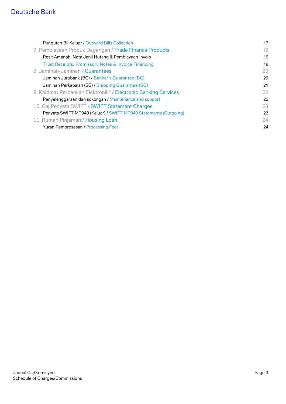| 19<br>7. Pembiayaan Produk Dagangan / Trade Finance Products<br>19<br>Resit Amanah, Nota Janji Hutang & Pembiayaan Invois<br>Trust Receipts, Promissory Notes & Invoice Financing<br>19<br>8. Jaminan-Jaminan / Guarantees<br>20<br>Jaminan Jurubank (BG) / Banker's Guarantee (BG)<br>20<br>Jaminan Perkapalan (SG) / Shipping Guarantee (SG)<br>21<br>9. Khidmat Perbankan Elektronik* / Electronic Banking Services<br>22<br>Penyelenggaraan dan sokongan / Maintenance and support<br>22<br>10. Caj Penyata SWIFT / SWIFT Statement Charges<br>23<br>Penyata SWIFT MT940 (Keluar) / SWIFT MT940 Statements (Outgoing)<br>23<br>11. Rumah Pinjaman / Housing Loan<br>24<br><b>Yuran Pemprosesan / Processing Fees</b><br>24 | <b>Pungutan Bil Keluar / Outward Bills Collection</b> | 17 |
|--------------------------------------------------------------------------------------------------------------------------------------------------------------------------------------------------------------------------------------------------------------------------------------------------------------------------------------------------------------------------------------------------------------------------------------------------------------------------------------------------------------------------------------------------------------------------------------------------------------------------------------------------------------------------------------------------------------------------------|-------------------------------------------------------|----|
|                                                                                                                                                                                                                                                                                                                                                                                                                                                                                                                                                                                                                                                                                                                                |                                                       |    |
|                                                                                                                                                                                                                                                                                                                                                                                                                                                                                                                                                                                                                                                                                                                                |                                                       |    |
|                                                                                                                                                                                                                                                                                                                                                                                                                                                                                                                                                                                                                                                                                                                                |                                                       |    |
|                                                                                                                                                                                                                                                                                                                                                                                                                                                                                                                                                                                                                                                                                                                                |                                                       |    |
|                                                                                                                                                                                                                                                                                                                                                                                                                                                                                                                                                                                                                                                                                                                                |                                                       |    |
|                                                                                                                                                                                                                                                                                                                                                                                                                                                                                                                                                                                                                                                                                                                                |                                                       |    |
|                                                                                                                                                                                                                                                                                                                                                                                                                                                                                                                                                                                                                                                                                                                                |                                                       |    |
|                                                                                                                                                                                                                                                                                                                                                                                                                                                                                                                                                                                                                                                                                                                                |                                                       |    |
|                                                                                                                                                                                                                                                                                                                                                                                                                                                                                                                                                                                                                                                                                                                                |                                                       |    |
|                                                                                                                                                                                                                                                                                                                                                                                                                                                                                                                                                                                                                                                                                                                                |                                                       |    |
|                                                                                                                                                                                                                                                                                                                                                                                                                                                                                                                                                                                                                                                                                                                                |                                                       |    |
|                                                                                                                                                                                                                                                                                                                                                                                                                                                                                                                                                                                                                                                                                                                                |                                                       |    |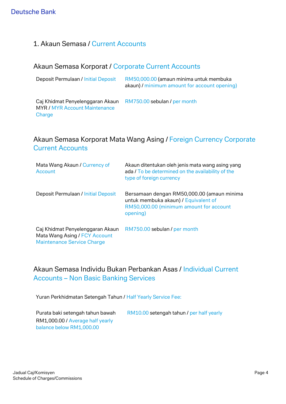### 1. Akaun Semasa / Current Accounts

### Akaun Semasa Korporat / Corporate Current Accounts

| Deposit Permulaan / Initial Deposit                                                | RM50,000.00 (amaun minima untuk membuka<br>akaun) / minimum amount for account opening) |
|------------------------------------------------------------------------------------|-----------------------------------------------------------------------------------------|
| Caj Khidmat Penyelenggaran Akaun<br><b>MYR / MYR Account Maintenance</b><br>Charge | RM750.00 sebulan / per month                                                            |

### Akaun Semasa Korporat Mata Wang Asing / Foreign Currency Corporate Current Accounts

| Mata Wang Akaun / Currency of<br>Account                                                               | Akaun ditentukan oleh jenis mata wang asing yang<br>ada / To be determined on the availability of the<br>type of foreign currency         |
|--------------------------------------------------------------------------------------------------------|-------------------------------------------------------------------------------------------------------------------------------------------|
| Deposit Permulaan / Initial Deposit                                                                    | Bersamaan dengan RM50,000.00 (amaun minima<br>untuk membuka akaun) / Equivalent of<br>RM50,000.00 (minimum amount for account<br>opening) |
| Caj Khidmat Penyelenggaran Akaun<br>Mata Wang Asing / FCY Account<br><b>Maintenance Service Charge</b> | RM750.00 sebulan / per month                                                                                                              |

## Akaun Semasa Individu Bukan Perbankan Asas / Individual Current Accounts – Non Basic Banking Services

Yuran Perkhidmatan Setengah Tahun / Half Yearly Service Fee:

Purata baki setengah tahun bawah RM1,000.00 / Average half yearly balance below RM1,000.00 RM10.00 setengah tahun / per half yearly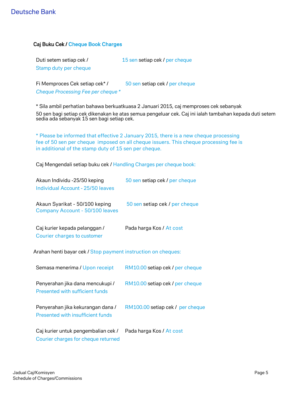#### Caj Buku Cek / Cheque Book Charges

| Duti setem setiap cek / | 15 sen setiap cek / per cheque |
|-------------------------|--------------------------------|
| Stamp duty per cheque   |                                |

Fi Memproces Cek setiap cek<sup>\*</sup> / 50 sen setiap cek / per cheque *Cheque Processing Fee per cheque \**

\* Sila ambil perhatian bahawa berkuatkuasa 2 Januari 2015, caj memproses cek sebanyak 50 sen bagi setiap cek dikenakan ke atas semua pengeluar cek. Caj ini ialah tambahan kepada duti setem

sedia ada sebanyak 15 sen bagi setiap cek.

\* Please be informed that effective 2 January 2015, there is a new cheque processing fee of 50 sen per cheque imposed on all cheque issuers. This cheque processing fee is in additional of the stamp duty of 15 sen per cheque.

Caj Mengendali setiap buku cek / Handling Charges per cheque book:

| Akaun Individu -25/50 keping<br>Individual Account - 25/50 leaves | 50 sen setiap cek / per cheque |
|-------------------------------------------------------------------|--------------------------------|
| Akaun Syarikat - 50/100 keping<br>Company Account - 50/100 leaves | 50 sen setiap cek / per cheque |
| Caj kurier kepada pelanggan /<br>Courier charges to customer      | Pada harga Kos / At cost       |

Arahan henti bayar cek / Stop payment instruction on cheques:

| Semasa menerima / Upon receipt                                             | RM10.00 setiap cek / per cheque  |
|----------------------------------------------------------------------------|----------------------------------|
| Penyerahan jika dana mencukupi /<br>Presented with sufficient funds        | RM10.00 setiap cek / per cheque  |
| Penyerahan jika kekurangan dana /<br>Presented with insufficient funds     | RM100.00 setiap cek / per cheque |
| Caj kurier untuk pengembalian cek /<br>Courier charges for cheque returned | Pada harga Kos / At cost         |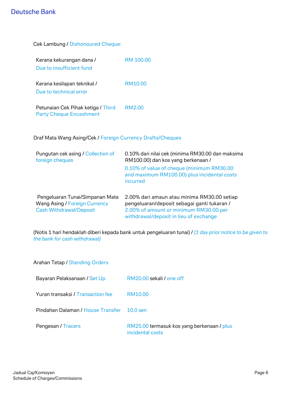| <b>Cek Lambung / Dishonoured Cheque:</b>                             |                                                                                          |
|----------------------------------------------------------------------|------------------------------------------------------------------------------------------|
| Kerana kekurangan dana /<br>Due to insufficient fund                 | RM 100.00                                                                                |
| Kerana kesilapan teknikal /<br>Due to technical error                | RM10.00                                                                                  |
| Petunaian Cek Pihak ketiga / Third<br><b>Party Cheque Encashment</b> | RM2.00                                                                                   |
| Draf Mata Wang Asing/Cek / Foreign Currency Drafts/Cheques           |                                                                                          |
| Pungutan cek asing / Collection of<br>foreign cheques                | 0.10% dari nilai cek (minima RM30.00 dan maksima<br>RM100.00) dan kos yang berkenaan /   |
|                                                                      | 0.10% of value of cheque (minimum RM30.00<br>and maximum RM100.00) plus incidental costs |

Pengeluaran Tunai/Simpanan Mata Wang Asing / Foreign Currency Cash Withdrawal/Deposit 2.00% dari amaun atau minima RM30.00 setiap pengeluaran/deposit sebagai ganti tukaran / 2.00% of amount or minimum RM30.00 per withdrawal/deposit in lieu of exchange

incurred

(Notis 1 hari hendaklah diberi kepada bank untuk pengeluaran tunai) / *(1 day prior notice to be given to the bank for cash withdrawal)*

| Arahan Tetap / Standing Orders             |                                                                |
|--------------------------------------------|----------------------------------------------------------------|
| Bayaran Pelaksanaan / Set Up               | RM20.00 sekali / one off                                       |
| Yuran transaksi / Transaction fee          | RM10.00                                                        |
| Pindahan Dalaman / House Transfer 10.0 sen |                                                                |
| Pengesan / Tracers                         | RM25.00 termasuk kos yang berkenaan / plus<br>incidental costs |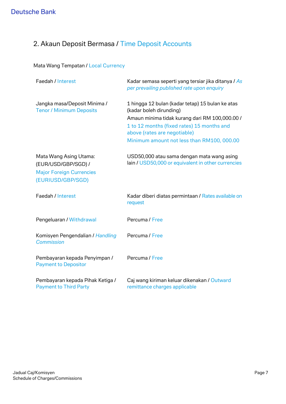# 2. Akaun Deposit Bermasa / Time Deposit Accounts

### Mata Wang Tempatan / Local Currency

| Faedah / Interest                                                                                     | Kadar semasa seperti yang tersiar jika ditanya / As<br>per prevailing published rate upon enquiry                                                                                                                                                         |
|-------------------------------------------------------------------------------------------------------|-----------------------------------------------------------------------------------------------------------------------------------------------------------------------------------------------------------------------------------------------------------|
| Jangka masa/Deposit Minima /<br><b>Tenor / Minimum Deposits</b>                                       | 1 hingga 12 bulan (kadar tetap) 15 bulan ke atas<br>(kadar boleh dirunding)<br>Amaun minima tidak kurang dari RM 100,000.00 /<br>1 to 12 months (fixed rates) 15 months and<br>above (rates are negotiable)<br>Minimum amount not less than RM100, 000.00 |
| Mata Wang Asing Utama:<br>(EUR/USD/GBP/SGD) /<br><b>Major Foreign Currencies</b><br>(EURIUSD/GBP/SGD) | USD50,000 atau sama dengan mata wang asing<br>lain / USD50,000 or equivalent in other currencies                                                                                                                                                          |
| Faedah / Interest                                                                                     | Kadar diberi diatas permintaan / Rates available on<br>request                                                                                                                                                                                            |
| Pengeluaran / Withdrawal                                                                              | Percuma / Free                                                                                                                                                                                                                                            |
| Komisyen Pengendalian / Handling<br><b>Commission</b>                                                 | Percuma / Free                                                                                                                                                                                                                                            |
| Pembayaran kepada Penyimpan /<br><b>Payment to Depositor</b>                                          | Percuma / Free                                                                                                                                                                                                                                            |
| Pembayaran kepada Pihak Ketiga /<br><b>Payment to Third Party</b>                                     | Caj wang kiriman keluar dikenakan / Outward<br>remittance charges applicable                                                                                                                                                                              |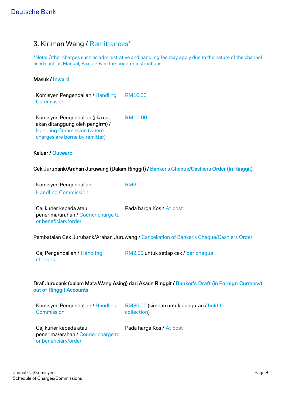### 3. Kiriman Wang / Remittances\*

\*Note: Other charges such as administrative and handling fee may apply due to the nature of the channel used such as Manual, Fax or Over-the-counter instructions.

#### Masuk / Inward

| Komisyen Pengendalian / Handling<br>Commission                                                                                            | RM10.00 |
|-------------------------------------------------------------------------------------------------------------------------------------------|---------|
| Komisyen Pengendalian (jika caj<br>akan ditanggung oleh pengirm) /<br><b>Handling Commission (where</b><br>charges are borne by remitter) | RM10.00 |

#### Keluar / Outward

or beneficiary/order

#### Cek Jurubank/Arahan Juruwang (Dalam Ringgit) / Banker's Cheque/Cashiers Order (In Ringgit)

| Komisyen Pengendalian               | RM3.00                   |
|-------------------------------------|--------------------------|
| <b>Handling Commission</b>          |                          |
|                                     |                          |
| Caj kurier kepada atau              | Pada harga Kos / At cost |
| penerima/arahan / Courier charge to |                          |

Pembatalan Cek Jurubank/Arahan Juruwang / Cancellation of Banker's Cheque/Cashiers Order

Caj Pengendalian / Handling charges RM2.00 untuk setiap cek / per cheque

#### Draf Jurubank (dalam Mata Wang Asing) dari Akaun Ringgit / Banker's Draft (in Foreign Currency) out of Ringgit Accounts

| Komisyen Pengendalian / Handling          | RM80.00 (simpan untuk pungutan / hold for |
|-------------------------------------------|-------------------------------------------|
| Commission                                | collection)                               |
| $\sim$ $\sim$ $\sim$ $\sim$ $\sim$ $\sim$ |                                           |

Caj kurier kepada atau penerima/arahan / Courier charge to or beneficiary/order

Pada harga Kos / At cost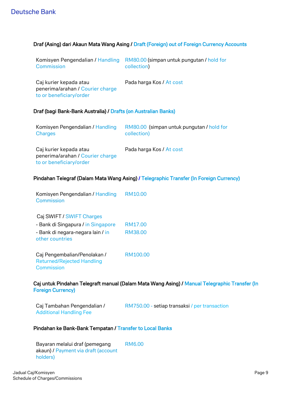#### Draf (Asing) dari Akaun Mata Wang Asing / Draft (Foreign) out of Foreign Currency Accounts

| Komisyen Pengendalian / Handling<br><b>Commission</b>                                 | RM80.00 (simpan untuk pungutan / hold for<br>collection) |
|---------------------------------------------------------------------------------------|----------------------------------------------------------|
| Caj kurier kepada atau<br>penerima/arahan / Courier charge<br>to or beneficiary/order | Pada harga Kos / At cost                                 |
| Draf (bagi Bank-Bank Australia) / Drafts (on Australian Banks)                        |                                                          |
| Komisyen Pengendalian / Handling<br><b>Charges</b>                                    | RM80.00 (simpan untuk pungutan / hold for<br>collection) |
| Caj kurier kepada atau<br>penerima/arahan / Courier charge<br>to or beneficiary/order | Pada harga Kos / At cost                                 |

#### Pindahan Telegraf (Dalam Mata Wang Asing) / Telegraphic Transfer (In Foreign Currency)

| Komisyen Pengendalian / Handling<br>Commission                                  | RM10.00  |
|---------------------------------------------------------------------------------|----------|
| Caj SWIFT / SWIFT Charges                                                       |          |
| - Bank di Singapura / in Singapore                                              | RM17.00  |
| - Bank di negara-negara lain / in<br>other countries                            | RM38.00  |
| Caj Pengembalian/Penolakan /<br><b>Returned/Rejected Handling</b><br>Commission | RM100.00 |

#### Caj untuk Pindahan Telegraft manual (Dalam Mata Wang Asing) / Manual Telegraphic Transfer (In Foreign Currency)

| Caj Tambahan Pengendalian /    | RM750.00 - setiap transaksi / per transaction |
|--------------------------------|-----------------------------------------------|
| <b>Additional Handling Fee</b> |                                               |

#### Pindahan ke Bank-Bank Tempatan / Transfer to Local Banks

Bayaran melalui draf (pemegang akaun) / Payment via draft (account holders) RM6.00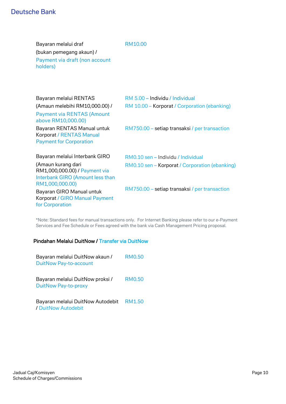Bayaran melalui draf (bukan pemegang akaun) / Payment via draft (non account holders)

#### RM10.00

| Bayaran melalui RENTAS                                                                                     | RM 5.00 - Individu / Individual                |
|------------------------------------------------------------------------------------------------------------|------------------------------------------------|
| (Amaun melebihi RM10,000.00) /                                                                             | RM 10.00 - Korporat / Corporation (ebanking)   |
| <b>Payment via RENTAS (Amount</b><br>above RM10,000.00)                                                    |                                                |
| Bayaran RENTAS Manual untuk<br>Korporat / RENTAS Manual<br><b>Payment for Corporation</b>                  | RM750.00 – setiap transaksi / per transaction  |
| Bayaran melalui Interbank GIRO                                                                             | RM0.10 sen - Individu / Individual             |
| (Amaun kurang dari<br>RM1,000,000.00) / Payment via<br>Interbank GIRO (Amount less than<br>RM1,000,000.00) | RM0.10 sen - Korporat / Corporation (ebanking) |
| Bayaran GIRO Manual untuk<br>Korporat / GIRO Manual Payment<br>for Corporation                             | RM750.00 – setiap transaksi / per transaction  |
|                                                                                                            |                                                |

\*Note: Standard fees for manual transactions only. For Internet Banking please refer to our e-Payment Services and Fee Schedule or Fees agreed with the bank via Cash Management Pricing proposal.

#### Pindahan Melalui DuitNow / Transfer via DuitNow

| Bayaran melalui DuitNow akaun /<br><b>DuitNow Pay-to-account</b> | <b>RM0.50</b> |
|------------------------------------------------------------------|---------------|
| Bayaran melalui DuitNow proksi /<br>DuitNow Pay-to-proxy         | RM0.50        |
| Bayaran melalui DuitNow Autodebit<br>/ DuitNow Autodebit         | RM1.50        |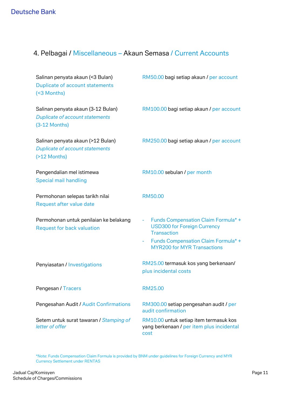# 4. Pelbagai / Miscellaneous – Akaun Semasa / Current Accounts

| Salinan penyata akaun (<3 Bulan)<br>Duplicate of account statements<br>(<3 Months)              | RM50.00 bagi setiap akaun / per account                                                                                                                                                  |
|-------------------------------------------------------------------------------------------------|------------------------------------------------------------------------------------------------------------------------------------------------------------------------------------------|
| Salinan penyata akaun (3-12 Bulan)<br><b>Duplicate of account statements</b><br>$(3-12$ Months) | RM100.00 bagi setiap akaun / per account                                                                                                                                                 |
| Salinan penyata akaun (>12 Bulan)<br><b>Duplicate of account statements</b><br>(>12 Months)     | RM250.00 bagi setiap akaun / per account                                                                                                                                                 |
| Pengendalian mel istimewa<br><b>Special mail handling</b>                                       | RM10.00 sebulan / per month                                                                                                                                                              |
| Permohonan selepas tarikh nilai<br>Request after value date                                     | RM50.00                                                                                                                                                                                  |
| Permohonan untuk penilaian ke belakang<br><b>Request for back valuation</b>                     | <b>Funds Compensation Claim Formula*+</b><br><b>USD300 for Foreign Currency</b><br><b>Transaction</b><br><b>Funds Compensation Claim Formula*+</b><br><b>MYR200 for MYR Transactions</b> |
| Penyiasatan / Investigations                                                                    | RM25.00 termasuk kos yang berkenaan/<br>plus incidental costs                                                                                                                            |
| Pengesan / Tracers                                                                              | RM25.00                                                                                                                                                                                  |
| Pengesahan Audit / Audit Confirmations                                                          | RM300.00 setiap pengesahan audit / per<br>audit confirmation                                                                                                                             |
| Setem untuk surat tawaran / Stamping of<br>letter of offer                                      | RM10.00 untuk setiap item termasuk kos<br>yang berkenaan / per item plus incidental<br>cost                                                                                              |

\*Note: Funds Compensation Claim Formula is provided by BNM under guidelines for Foreign Currency and MYR Currency Settlement under RENTAS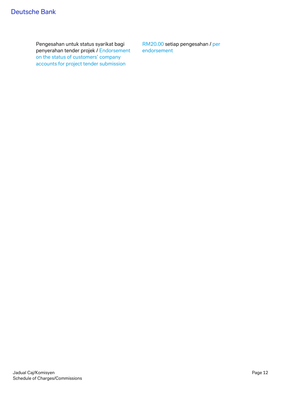Pengesahan untuk status syarikat bagi penyerahan tender projek / Endorsement on the status of customers' company accounts for project tender submission

RM20.00 setiap pengesahan / per endorsement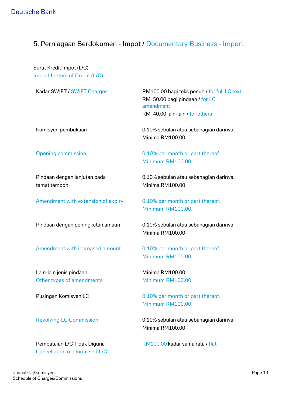### 5. Perniagaan Berdokumen - Impot / Documentary Business - Import

Surat Kredit Impot (L/C) Import Letters of Credit (L/C)

Kadar SWIFT / SWIFT Charges RM100.00 bagi teks penuh / for full LC text RM 50.00 bagi pindaan / for LC amendment RM 40.00 lain-lain / for others

Komisyen pembukaan 0.10% sebulan atau sebahagian darinya. Minima RM100.00

Pindaan dengan lanjutan pada tamat tempoh

Amendment with extension of expiry 0.10% per month or part thereof.

Amendment with increased amount 0.10% per month or part thereof.

Lain-lain jenis pindaan Other types of amendments

Pembatalan L/C Tidak Diguna Cancellation of Unutilised L/C

Opening commission 0.10% per month or part thereof. Minimum RM100.00

> 0.10% sebulan atau sebahagian darinya. Minima RM100.00

Minimum RM100.00

Pindaan dengan peningkatan amaun 0.10% sebulan atau sebahagian darinya Minima RM100.00

Minimum RM100.00

Minima RM100.00 Minimum RM100.00

Pusingan Komisyen LC 0.10% per month or part thereof. Minimum RM100.00

Revolving LC Commission 0.10% sebulan atau sebahagian darinya. Minima RM100.00

RM100.00 kadar sama rata / flat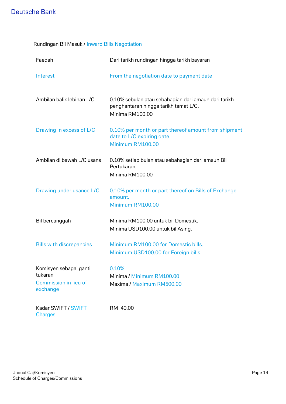| Rundingan Bil Masuk / Inward Bills Negotiation |  |  |  |  |  |
|------------------------------------------------|--|--|--|--|--|
|------------------------------------------------|--|--|--|--|--|

| Faedah                                                                 | Dari tarikh rundingan hingga tarikh bayaran                                                                      |
|------------------------------------------------------------------------|------------------------------------------------------------------------------------------------------------------|
| Interest                                                               | From the negotiation date to payment date                                                                        |
| Ambilan balik lebihan L/C                                              | 0.10% sebulan atau sebahagian dari amaun dari tarikh<br>penghantaran hingga tarikh tamat L/C.<br>Minima RM100.00 |
| Drawing in excess of L/C                                               | 0.10% per month or part thereof amount from shipment<br>date to L/C expiring date.<br>Minimum RM100.00           |
| Ambilan di bawah L/C usans                                             | 0.10% setiap bulan atau sebahagian dari amaun Bil<br>Pertukaran.<br>Minima RM100.00                              |
| Drawing under usance L/C                                               | 0.10% per month or part thereof on Bills of Exchange<br>amount.<br>Minimum RM100.00                              |
| Bil bercanggah                                                         | Minima RM100.00 untuk bil Domestik.<br>Minima USD100.00 untuk bil Asing.                                         |
| <b>Bills with discrepancies</b>                                        | Minimum RM100.00 for Domestic bills.<br>Minimum USD100.00 for Foreign bills                                      |
| Komisyen sebagai ganti<br>tukaran<br>Commission in lieu of<br>exchange | 0.10%<br>Minima / Minimum RM100.00<br>Maxima / Maximum RM500.00                                                  |
| Kadar SWIFT / SWIFT<br><b>Charges</b>                                  | RM 40.00                                                                                                         |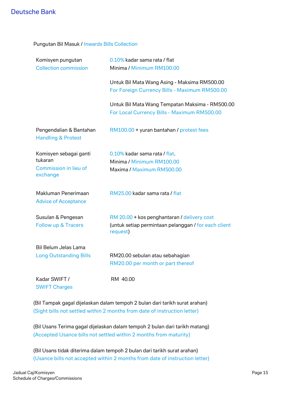| Pungutan Bil Masuk / Inwards Bills Collection |  |  |  |  |  |
|-----------------------------------------------|--|--|--|--|--|
|-----------------------------------------------|--|--|--|--|--|

| Komisyen pungutan<br><b>Collection commission</b>                      | 0.10% kadar sama rata / flat<br>Minima / Minimum RM100.00                                                       |
|------------------------------------------------------------------------|-----------------------------------------------------------------------------------------------------------------|
|                                                                        | Untuk Bil Mata Wang Asing - Maksima RM500.00<br>For Foreign Currency Bills - Maximum RM500.00                   |
|                                                                        | Untuk Bil Mata Wang Tempatan Maksima - RM500.00<br>For Local Currency Bills - Maximum RM500.00                  |
| Pengendalian & Bantahan<br><b>Handling &amp; Protest</b>               | RM100.00 + yuran bantahan / protest fees                                                                        |
| Komisyen sebagai ganti<br>tukaran<br>Commission in lieu of<br>exchange | 0.10% kadar sama rata / flat.<br>Minima / Minimum RM100.00<br>Maxima / Maximum RM500.00                         |
| Makluman Penerimaan<br><b>Advice of Acceptance</b>                     | RM25.00 kadar sama rata / flat                                                                                  |
| Susulan & Pengesan<br><b>Follow up &amp; Tracers</b>                   | RM 20.00 + kos penghantaran / delivery cost<br>(untuk setiap permintaan pelanggan / for each client<br>request) |
| <b>Bil Belum Jelas Lama</b><br><b>Long Outstanding Bills</b>           | RM20.00 sebulan atau sebahagian<br>RM20.00 per month or part thereof                                            |
| Kadar SWIFT/                                                           | RM 40.00                                                                                                        |

(Bil Tampak gagal dijelaskan dalam tempoh 2 bulan dari tarikh surat arahan) (Sight bills not settled within 2 months from date of instruction letter)

(Bil Usans Terima gagal dijelaskan dalam tempoh 2 bulan dari tarikh matang) (Accepted Usance bills not settled within 2 months from maturity)

(Bil Usans tidak diterima dalam tempoh 2 bulan dari tarikh surat arahan) (Usance bills not accepted within 2 months from date of instruction letter)

SWIFT Charges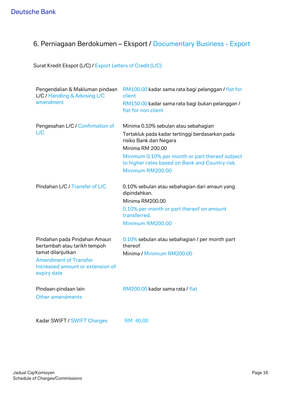# 6. Perniagaan Berdokumen – Eksport / Documentary Business - Export

Surat Kredit Ekspot (L/C) / Export Letters of Credit (L/C)

| Pengendalian & Makluman pindaan<br>L/C / Handling & Advising L/C                                     | RM100.00 kadar sama rata bagi pelanggan / flat for<br>client                                       |
|------------------------------------------------------------------------------------------------------|----------------------------------------------------------------------------------------------------|
| amendment                                                                                            | RM150.00 kadar sama rata bagi bukan pelanggan /<br>flat for non client                             |
| Pengesahan L/C / Confirmation of                                                                     | Minima 0.10% sebulan atau sebahagian                                                               |
| L/C                                                                                                  | Tertakluk pada kadar tertinggi berdasarkan pada<br>risiko Bank dan Negara                          |
|                                                                                                      | <b>Minima RM 200.00</b>                                                                            |
|                                                                                                      | Minimum 0.10% per month or part thereof subject<br>to higher rates based on Bank and Country risk. |
|                                                                                                      | Minimum RM200.00                                                                                   |
|                                                                                                      |                                                                                                    |
| Pindahan L/C / Transfer of L/C                                                                       | 0.10% sebulan atau sebahagian dari amaun yang<br>dipindahkan.                                      |
|                                                                                                      | Minima RM200.00                                                                                    |
|                                                                                                      | 0.10% per month or part thereof on amount<br>transferred.                                          |
|                                                                                                      | Minimum RM200.00                                                                                   |
| Pindahan pada Pindahan Amaun<br>bertambah atau tarikh tempoh                                         | 0.10% sebulan atau sebahagian / per month part<br>thereof                                          |
| tamat dilanjutkan<br><b>Amendment of Transfer</b><br>Increased amount or extension of<br>expiry date | Minima / Minimum RM200.00                                                                          |
| Pindaan-pindaan lain<br>Other amendments                                                             | RM200.00 kadar sama rata / flat                                                                    |
| Kadar SWIFT / SWIFT Charges                                                                          | RM 40.00                                                                                           |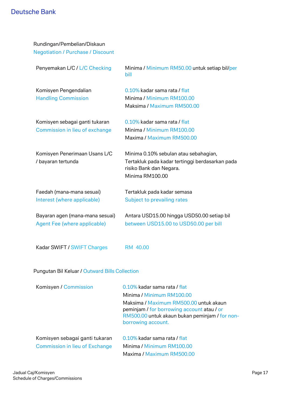| Rundingan/Pembelian/Diskaun<br><b>Negotiation / Purchase / Discount</b> |                                                                                                                                        |
|-------------------------------------------------------------------------|----------------------------------------------------------------------------------------------------------------------------------------|
| Penyemakan L/C / L/C Checking                                           | Minima / Minimum RM50.00 untuk setiap bil/per<br>bill                                                                                  |
| Komisyen Pengendalian<br><b>Handling Commission</b>                     | 0.10% kadar sama rata / flat<br>Minima / Minimum RM100.00<br>Maksima / Maximum RM500.00                                                |
| Komisyen sebagai ganti tukaran<br>Commission in lieu of exchange        | 0.10% kadar sama rata / flat<br>Minima / Minimum RM100.00<br>Maxima / Maximum RM500.00                                                 |
| Komisyen Penerimaan Usans L/C<br>/ bayaran tertunda                     | Minima 0.10% sebulan atau sebahagian,<br>Tertakluk pada kadar tertinggi berdasarkan pada<br>risiko Bank dan Negara.<br>Minima RM100.00 |
| Faedah (mana-mana sesuai)                                               | Tertakluk pada kadar semasa                                                                                                            |
| Interest (where applicable)                                             | Subject to prevailing rates                                                                                                            |
| Bayaran agen (mana-mana sesuai)<br>Agent Fee (where applicable)         | Antara USD15.00 hingga USD50.00 setiap bil<br>between USD15.00 to USD50.00 per bill                                                    |
| Kadar SWIFT / SWIFT Charges                                             | RM 40.00                                                                                                                               |

Pungutan Bil Keluar / Outward Bills Collection

| Komisyen / Commission          | 0.10% kadar sama rata / flat                                                                                                                                 |
|--------------------------------|--------------------------------------------------------------------------------------------------------------------------------------------------------------|
|                                | Minima / Minimum RM100.00                                                                                                                                    |
|                                | Maksima / Maximum RM500.00 untuk akaun<br>peminjam / for borrowing account atau / or<br>RM500.00 untuk akaun bukan peminjam / for non-<br>borrowing account. |
| Komisyen sebagai ganti tukaran | 0.10% kadar sama rata / flat                                                                                                                                 |
| Commission in lieu of Exchange | Minima / Minimum RM100.00                                                                                                                                    |
|                                | Maxima / Maximum RM500.00                                                                                                                                    |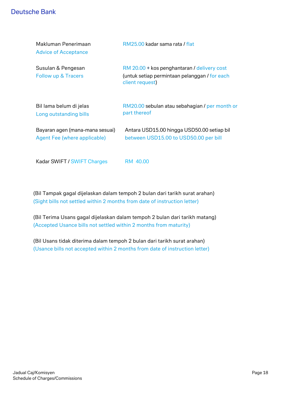| Makluman Penerimaan<br><b>Advice of Acceptance</b>              | RM25.00 kadar sama rata / flat                                                                                  |
|-----------------------------------------------------------------|-----------------------------------------------------------------------------------------------------------------|
| Susulan & Pengesan<br>Follow up & Tracers                       | RM 20.00 + kos penghantaran / delivery cost<br>(untuk setiap permintaan pelanggan / for each<br>client request) |
| Bil lama belum di jelas<br>Long outstanding bills               | RM20.00 sebulan atau sebahagian / per month or<br>part thereof                                                  |
| Bayaran agen (mana-mana sesuai)<br>Agent Fee (where applicable) | Antara USD15.00 hingga USD50.00 setiap bil<br>between USD15.00 to USD50.00 per bill                             |
| Kadar SWIFT / SWIFT Charges                                     | RM 40.00                                                                                                        |

(Bil Tampak gagal dijelaskan dalam tempoh 2 bulan dari tarikh surat arahan) (Sight bills not settled within 2 months from date of instruction letter)

(Bil Terima Usans gagal dijelaskan dalam tempoh 2 bulan dari tarikh matang) (Accepted Usance bills not settled within 2 months from maturity)

(Bil Usans tidak diterima dalam tempoh 2 bulan dari tarikh surat arahan) (Usance bills not accepted within 2 months from date of instruction letter)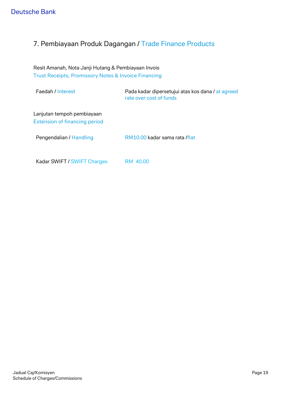# 7. Pembiayaan Produk Dagangan / Trade Finance Products

Resit Amanah, Nota Janji Hutang & Pembiayaan Invois Trust Receipts, Promissory Notes & Invoice Financing

| Faedah / Interest                                                  | Pada kadar dipersetujui atas kos dana / at agreed<br>rate over cost of funds |
|--------------------------------------------------------------------|------------------------------------------------------------------------------|
| Lanjutan tempoh pembiayaan<br><b>Extension of financing period</b> |                                                                              |
| Pengendalian / Handling                                            | RM10.00 kadar sama rata /flat                                                |
|                                                                    |                                                                              |

Kadar SWIFT / SWIFT Charges RM 40.00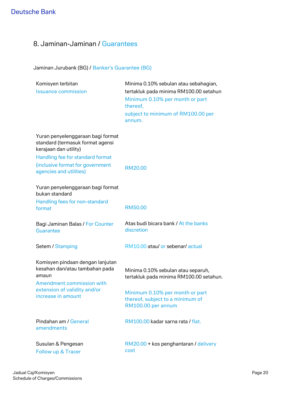# 8. Jaminan-Jaminan / Guarantees

### Jaminan Jurubank (BG) / Banker's Guarantee (BG)

| Komisyen terbitan<br><b>Issuance commission</b>                                                                                                                                                   | Minima 0.10% sebulan atau sebahagian,<br>tertakluk pada minima RM100.00 setahun<br>Minimum 0.10% per month or part<br>thereof,<br>subject to minimum of RM100.00 per<br>annum. |
|---------------------------------------------------------------------------------------------------------------------------------------------------------------------------------------------------|--------------------------------------------------------------------------------------------------------------------------------------------------------------------------------|
| Yuran penyelenggaraan bagi format<br>standard (termasuk format agensi<br>kerajaan dan utility)<br>Handling fee for standard format<br>(inclusive format for government<br>agencies and utilities) | <b>RM20.00</b>                                                                                                                                                                 |
| Yuran penyelenggaraan bagi format<br>bukan standard<br>Handling fees for non-standard<br>format                                                                                                   | <b>RM50.00</b>                                                                                                                                                                 |
| Bagi Jaminan Balas / For Counter<br><b>Guarantee</b>                                                                                                                                              | Atas budi bicara bank / At the banks<br>discretion                                                                                                                             |
| Setem / Stamping                                                                                                                                                                                  | RM10.00 atau/ or sebenar/actual                                                                                                                                                |
| Komisyen pindaan dengan lanjutan<br>kesahan dan/atau tambahan pada<br>amaun<br>Amendment commission with<br>extension of validity and/or<br>increase in amount                                    | Minima 0.10% sebulan atau separuh,<br>tertakluk pada minima RM100.00 setahun.<br>Minimum 0.10% per month or part<br>thereof, subject to a minimum of<br>RM100.00 per annum     |
| Pindahan am / General<br>amendments                                                                                                                                                               | RM100.00 kadar sarna rata / flat.                                                                                                                                              |
| Susulan & Pengesan<br>Follow up & Tracer                                                                                                                                                          | RM20.00 + kos penghantaran / delivery<br>cost                                                                                                                                  |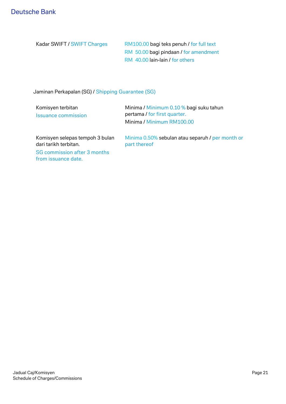| Kadar SWIFT / SWIFT Charges | RM100.00 bagi teks penuh / for full text |
|-----------------------------|------------------------------------------|
|                             | RM 50.00 bagi pindaan / for amendment    |
|                             | RM 40.00 lain-lain / for others          |

Jaminan Perkapalan (SG) / Shipping Guarantee (SG)

| Komisyen terbitan<br><b>Issuance commission</b>                                          | Minima / Minimum 0.10 % bagi suku tahun<br>pertama / for first quarter.<br>Minima / Minimum RM100.00 |
|------------------------------------------------------------------------------------------|------------------------------------------------------------------------------------------------------|
| Komisyen selepas tempoh 3 bulan<br>dari tarikh terbitan.<br>SG commission after 3 months | Minima 0.50% sebulan atau separuh / per month or<br>part thereof                                     |
| from issuance date.                                                                      |                                                                                                      |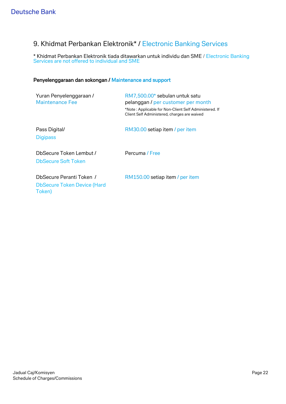# 9. Khidmat Perbankan Elektronik\* / Electronic Banking Services

\* Khidmat Perbankan Elektronik tiada ditawarkan untuk individu dan SME / Electronic Banking Services are not offered to individual and SME

#### Penyelenggaraan dan sokongan / Maintenance and support

| Yuran Penyelenggaraan /<br><b>Maintenance Fee</b>                        | RM7,500.00* sebulan untuk satu<br>pelanggan / per customer per month<br>*Note: Applicable for Non-Client Self Administered. If<br>Client Self Administered, charges are waived |
|--------------------------------------------------------------------------|--------------------------------------------------------------------------------------------------------------------------------------------------------------------------------|
| Pass Digital/<br><b>Digipass</b>                                         | RM30.00 setiap item / per item                                                                                                                                                 |
| DbSecure Token Lembut /<br><b>DbSecure Soft Token</b>                    | Percuma / Free                                                                                                                                                                 |
| DbSecure Peranti Token /<br><b>DbSecure Token Device (Hard</b><br>Token) | RM150.00 setiap item / per item                                                                                                                                                |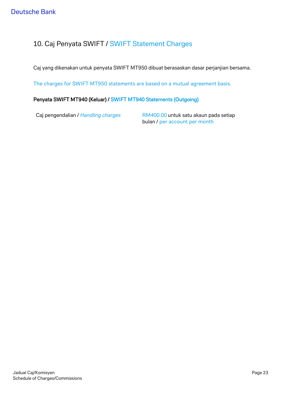## 10. Caj Penyata SWIFT / SWIFT Statement Charges

Caj yang dikenakan untuk penyata SWIFT MT950 dibuat berasaskan dasar perjanjian bersama.

The charges for SWIFT MT950 statements are based on a mutual agreement basis.

### Penyata SWIFT MT940 (Keluar) / SWIFT MT940 Statements (Outgoing)

Caj pengendalian / *Handling charges* RM400.00 untuk satu akaun pada setiap bulan / per account per month